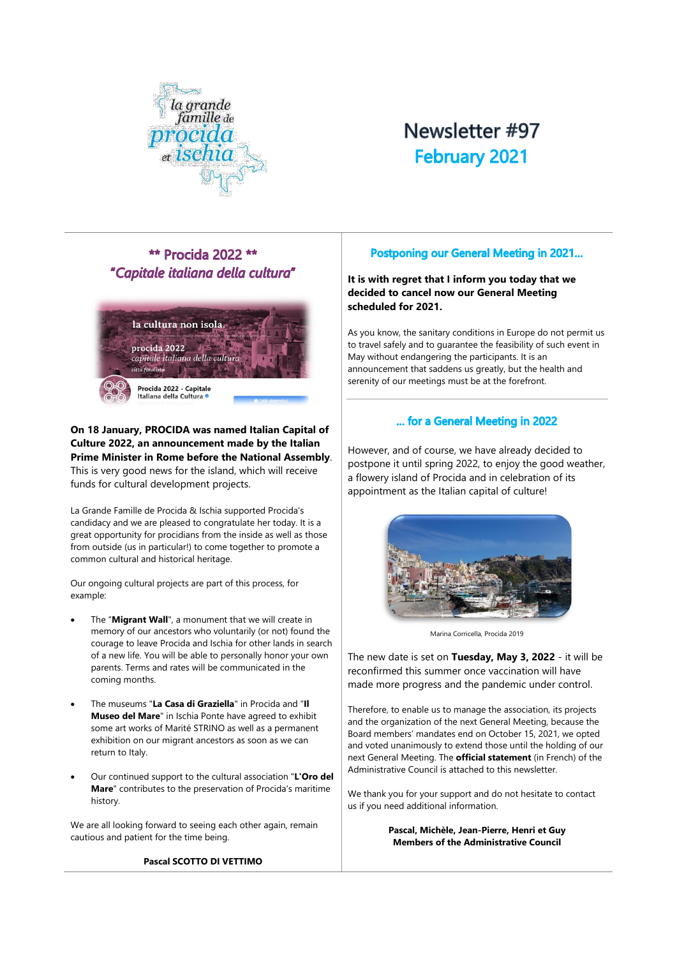

# Newsletter #97 **February 2021**

# **\*\* Procida 2022 \*\*** "Capitale italiana della cultura"



#### **On 18 January, PROCIDA was named Italian Capital of Culture 2022, an announcement made by the Italian Prime Minister in Rome before the National Assembly**. This is very good news for the island, which will receive funds for cultural development projects.

La Grande Famille de Procida & Ischia supported Procida's candidacy and we are pleased to congratulate her today. It is a great opportunity for procidians from the inside as well as those from outside (us in particular!) to come together to promote a common cultural and historical heritage.

Our ongoing cultural projects are part of this process, for example:

- The "**Migrant Wall**", a monument that we will create in memory of our ancestors who voluntarily (or not) found the courage to leave Procida and Ischia for other lands in search of a new life. You will be able to personally honor your own parents. Terms and rates will be communicated in the coming months.
- The museums "**La Casa di Graziella**" in Procida and "**Il Museo del Mare**" in Ischia Ponte have agreed to exhibit some art works of Marité STRINO as well as a permanent exhibition on our migrant ancestors as soon as we can return to Italy.
- Our continued support to the cultural association "**L'Oro del Mare**" contributes to the preservation of Procida's maritime history.

We are all looking forward to seeing each other again, remain cautious and patient for the time being.

#### **Pascal SCOTTO DI VETTIMO**

# **Postponing our General Meeting in 2021...**

**It is with regret that I inform you today that we decided to cancel now our General Meeting scheduled for 2021.** 

As you know, the sanitary conditions in Europe do not permit us to travel safely and to guarantee the feasibility of such event in May without endangering the participants. It is an announcement that saddens us greatly, but the health and serenity of our meetings must be at the forefront.

# ... for a General Meeting in 2022

However, and of course, we have already decided to postpone it until spring 2022, to enjoy the good weather, a flowery island of Procida and in celebration of its appointment as the Italian capital of culture!



Marina Corricella, Procida 2019

The new date is set on **Tuesday, May 3, 2022** - it will be reconfirmed this summer once vaccination will have made more progress and the pandemic under control.

Therefore, to enable us to manage the association, its projects and the organization of the next General Meeting, because the Board members' mandates end on October 15, 2021, we opted and voted unanimously to extend those until the holding of our next General Meeting. The **official statement** (in French) of the Administrative Council is attached to this newsletter.

We thank you for your support and do not hesitate to contact us if you need additional information.

> **Pascal, Michèle, Jean-Pierre, Henri et Guy Members of the Administrative Council**